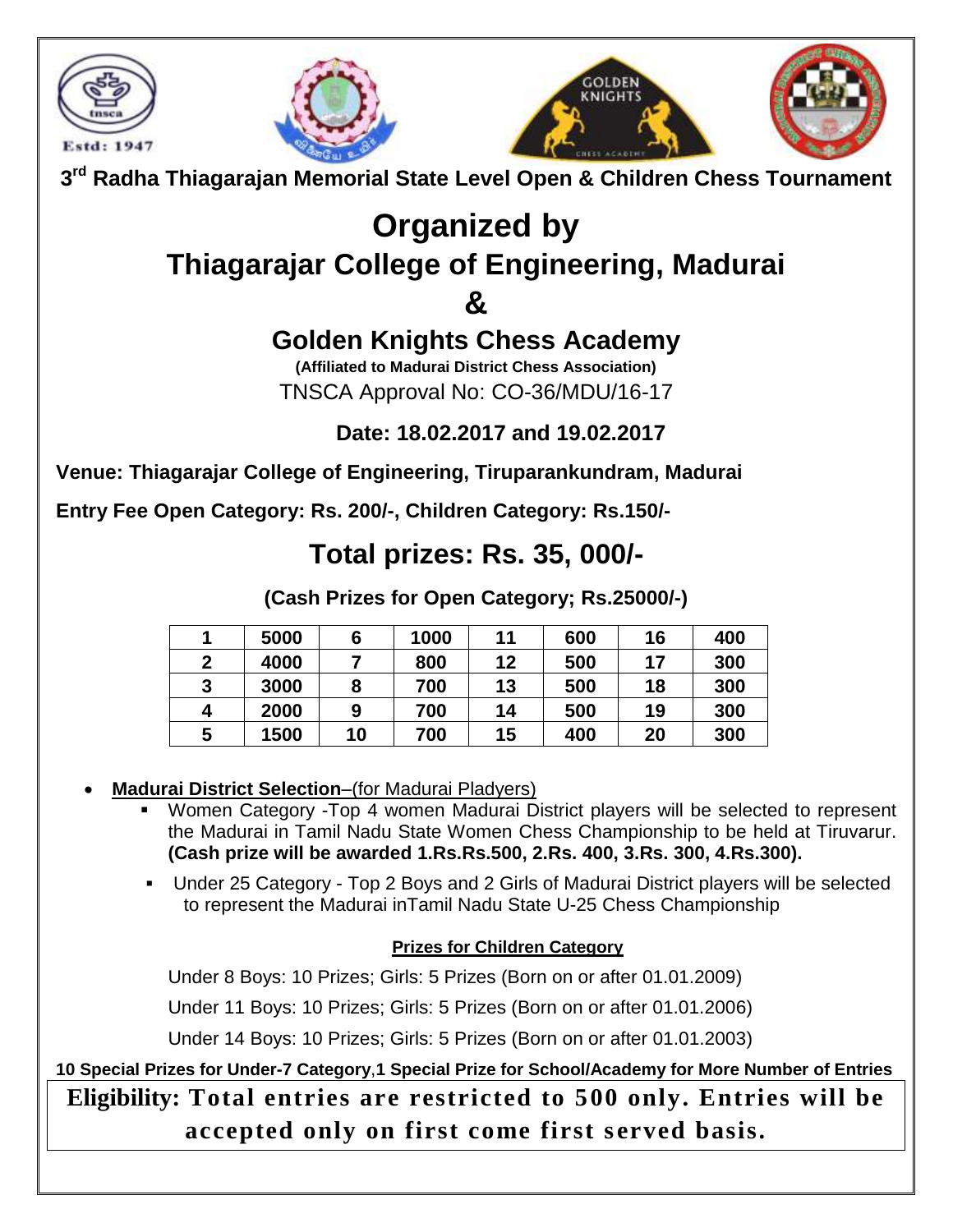







# **Organized by Thiagarajar College of Engineering, Madurai**

### **&**

## **Golden Knights Chess Academy**

**(Affiliated to Madurai District Chess Association)** TNSCA Approval No: CO-36/MDU/16-17

### **Date: 18.02.2017 and 19.02.2017**

**Venue: Thiagarajar College of Engineering, Tiruparankundram, Madurai**

**Entry Fee Open Category: Rs. 200/-, Children Category: Rs.150/-**

### **Total prizes: Rs. 35, 000/-**

**(Cash Prizes for Open Category; Rs.25000/-)**

|   | 5000 | 6  | 1000 | 11 | 600 | 16 | 400 |
|---|------|----|------|----|-----|----|-----|
| 2 | 4000 |    | 800  | 12 | 500 | 17 | 300 |
| 3 | 3000 | 8  | 700  | 13 | 500 | 18 | 300 |
| 4 | 2000 | 9  | 700  | 14 | 500 | 19 | 300 |
| 5 | 1500 | 10 | 700  | 15 | 400 | 20 | 300 |

#### **Madurai District Selection**–(for Madurai Pladyers)

- Women Category -Top 4 women Madurai District players will be selected to represent the Madurai in Tamil Nadu State Women Chess Championship to be held at Tiruvarur. **(Cash prize will be awarded 1.Rs.Rs.500, 2.Rs. 400, 3.Rs. 300, 4.Rs.300).**
- Under 25 Category Top 2 Boys and 2 Girls of Madurai District players will be selected to represent the Madurai inTamil Nadu State U-25 Chess Championship

#### **Prizes for Children Category**

Under 8 Boys: 10 Prizes; Girls: 5 Prizes (Born on or after 01.01.2009)

Under 11 Boys: 10 Prizes; Girls: 5 Prizes (Born on or after 01.01.2006)

Under 14 Boys: 10 Prizes; Girls: 5 Prizes (Born on or after 01.01.2003)

**10 Special Prizes for Under-7 Category**,**1 Special Prize for School/Academy for More Number of Entries Eligibility: Total entries are restricted to 500 only. Entries will be accepted only on first come first s erved basis.**